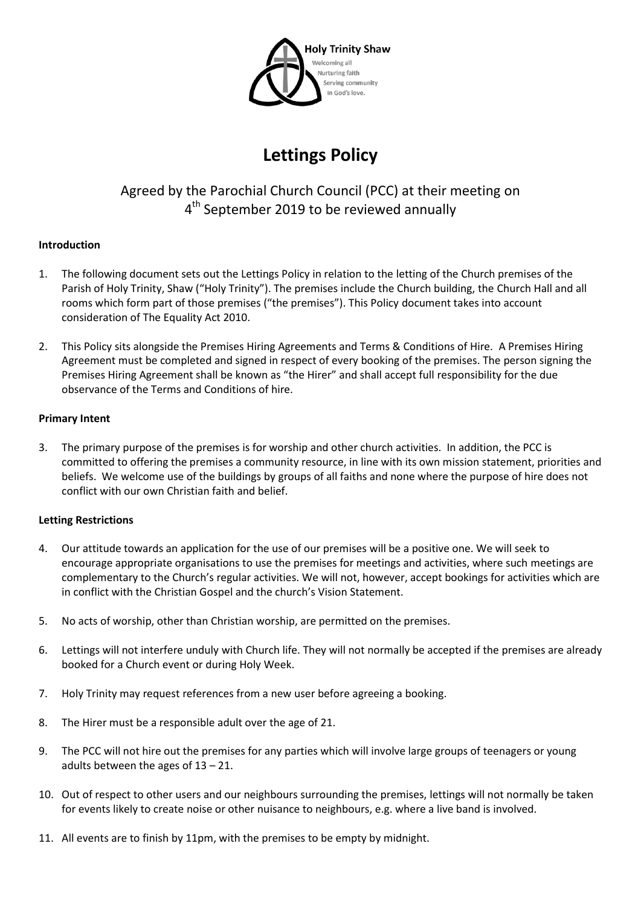

# **Lettings Policy**

# Agreed by the Parochial Church Council (PCC) at their meeting on 4<sup>th</sup> September 2019 to be reviewed annually

# **Introduction**

- 1. The following document sets out the Lettings Policy in relation to the letting of the Church premises of the Parish of Holy Trinity, Shaw ("Holy Trinity"). The premises include the Church building, the Church Hall and all rooms which form part of those premises ("the premises"). This Policy document takes into account consideration of The Equality Act 2010.
- 2. This Policy sits alongside the Premises Hiring Agreements and Terms & Conditions of Hire. A Premises Hiring Agreement must be completed and signed in respect of every booking of the premises. The person signing the Premises Hiring Agreement shall be known as "the Hirer" and shall accept full responsibility for the due observance of the Terms and Conditions of hire.

#### **Primary Intent**

3. The primary purpose of the premises is for worship and other church activities. In addition, the PCC is committed to offering the premises a community resource, in line with its own mission statement, priorities and beliefs. We welcome use of the buildings by groups of all faiths and none where the purpose of hire does not conflict with our own Christian faith and belief.

# **Letting Restrictions**

- 4. Our attitude towards an application for the use of our premises will be a positive one. We will seek to encourage appropriate organisations to use the premises for meetings and activities, where such meetings are complementary to the Church's regular activities. We will not, however, accept bookings for activities which are in conflict with the Christian Gospel and the church's Vision Statement.
- 5. No acts of worship, other than Christian worship, are permitted on the premises.
- 6. Lettings will not interfere unduly with Church life. They will not normally be accepted if the premises are already booked for a Church event or during Holy Week.
- 7. Holy Trinity may request references from a new user before agreeing a booking.
- 8. The Hirer must be a responsible adult over the age of 21.
- 9. The PCC will not hire out the premises for any parties which will involve large groups of teenagers or young adults between the ages of  $13 - 21$ .
- 10. Out of respect to other users and our neighbours surrounding the premises, lettings will not normally be taken for events likely to create noise or other nuisance to neighbours, e.g. where a live band is involved.
- 11. All events are to finish by 11pm, with the premises to be empty by midnight.